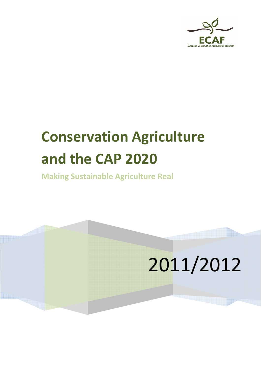

# **Conservation Agriculture and the CAP 2020**

**Making Sustainable Agriculture Real**

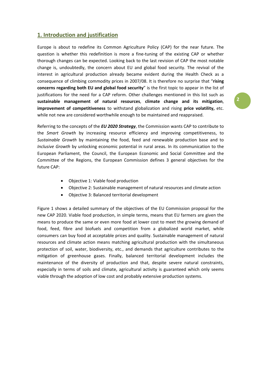### **1. Introduction and justification**

Europe is about to redefine its Common Agriculture Policy (CAP) for the near future. The question is whether this redefinition is more a fine-tuning of the existing CAP or whether thorough changes can be expected. Looking back to the last revision of CAP the most notable change is, undoubtedly, the concern about EU and global food security. The revival of the interest in agricultural production already became evident during the Health Check as a consequence of climbing commodity prices in 2007/08. It is therefore no surprise that "**rising concerns regarding both EU and global food security**" is the first topic to appear in the list of justifications for the need for a CAP reform. Other challenges mentioned in this list such as **sustainable management of natural resources**, **climate change and its mitigation**, **improvement of competitiveness** to withstand globalization and rising **price volatility,** etc. while not new are considered worthwhile enough to be maintained and reappraised.

Referring to the concepts of the *EU 2020 Strategy*, the Commission wants CAP to contribute to the *Smart Growth* by increasing resource efficiency and improving competitiveness, to *Sustainable Growth* by maintaining the food, feed and renewable production base and to *Inclusive Growth* by unlocking economic potential in rural areas. In its communication to the European Parliament, the Council, the European Economic and Social Committee and the Committee of the Regions, the European Commission defines 3 general objectives for the future CAP:

- Objective 1: Viable food production
- Objective 2: Sustainable management of natural resources and climate action
- Objective 3: Balanced territorial development

Figure 1 shows a detailed summary of the objectives of the EU Commission proposal for the new CAP 2020. Viable food production, in simple terms, means that EU farmers are given the means to produce the same or even more food at lower cost to meet the growing demand of food, feed, fibre and biofuels and competition from a globalized world market, while consumers can buy food at acceptable prices and quality. Sustainable management of natural resources and climate action means matching agricultural production with the simultaneous protection of soil, water, biodiversity, etc., and demands that agriculture contributes to the mitigation of greenhouse gases. Finally, balanced territorial development includes the maintenance of the diversity of production and that, despite severe natural constraints, especially in terms of soils and climate, agricultural activity is guaranteed which only seems viable through the adoption of low cost and probably extensive production systems.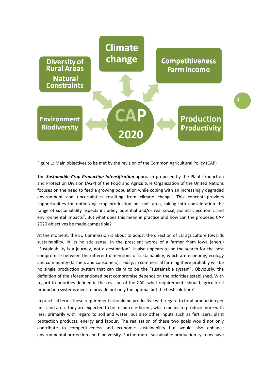

Figure 1: Main objectives to be met by the revision of the Common Agricultural Policy (CAP)

The Sustainable Crop Production Intensification approach proposed by the Plant Production and Protection Division (AGP) of the Food and Agriculture Organization of the United Nations focuses on the need to feed a growing population while coping with an increasingly degraded environment and uncertainties resulting from climate change. This concept provides "opportunities for optimizing crop production per unit area, taking into consideration the range of sustainability aspects including potential and/or real social, political, economic and environmental impacts". But what does this mean in practice and how can the proposed CAP 2020 objectives be made compatible?

At the moment, the EU Commission is about to adjust the direction of EU agriculture towards sustainability, in its holistic sense. In the prescient words of a farmer from Iowa (anon.) "Sustainability is a journey, not a destination". It also appears to be the search for the best compromise between the different dimensions of sustainability, which are economy, ecology and community (farmers and consumers). Today, in commercial farming there probably will be no single production system that can claim to be the "sustainable system". Obviously, the definition of the aforementioned best compromise depends on the priorities established. With regard to priorities defined in the revision of the CAP, what requirements should agricultural production systems meet to provide not only the optimal but the best solution?

In practical terms these requirements should be productive with regard to total production per unit land area. They are expected to be resource efficient, which means to produce more with less, primarily with regard to soil and water, but also other inputs such as fertilizers, plant protection products, energy and labour. The realisation of these two goals would not only contribute to competitiveness and economic sustainability but would also enhance environmental protection and biodiversity. Furthermore, sustainable production systems have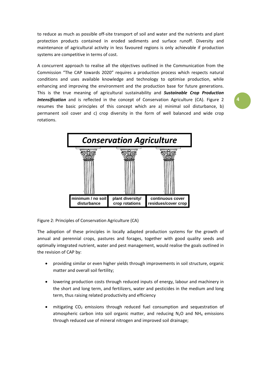to reduce as much as possible off‐site transport of soil and water and the nutrients and plant protection products contained in eroded sediments and surface runoff. Diversity and maintenance of agricultural activity in less favoured regions is only achievable if production systems are competitive in terms of cost.

A concurrent approach to realise all the objectives outlined in the Communication from the Commission "The CAP towards 2020" requires a production process which respects natural conditions and uses available knowledge and technology to optimise production, while enhancing and improving the environment and the production base for future generations. This is the true meaning of agricultural sustainability and *Sustainable Crop Production* **Intensification** and is reflected in the concept of Conservation Agriculture (CA). Figure 2 resumes the basic principles of this concept which are a) minimal soil disturbance, b) permanent soil cover and c) crop diversity in the form of well balanced and wide crop rotations.



Figure 2: Principles of Conservation Agriculture (CA)

The adoption of these principles in locally adapted production systems for the growth of annual and perennial crops, pastures and forages, together with good quality seeds and optimally integrated nutrient, water and pest management, would realise the goals outlined in the revision of CAP by:

- providing similar or even higher yields through improvements in soil structure, organic matter and overall soil fertility;
- lowering production costs through reduced inputs of energy, labour and machinery in the short and long term, and fertilizers, water and pesticides in the medium and long term, thus raising related productivity and efficiency
- mitigating  $CO<sub>2</sub>$  emissions through reduced fuel consumption and sequestration of atmospheric carbon into soil organic matter, and reducing  $N_2O$  and  $NH_4$  emissions through reduced use of mineral nitrogen and improved soil drainage;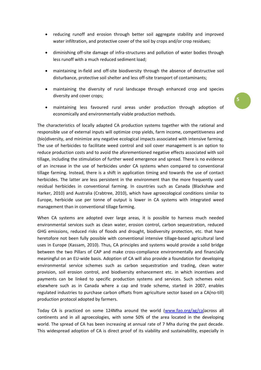- reducing runoff and erosion through better soil aggregate stability and improved water infiltration, and protective cover of the soil by crops and/or crop residues;
- diminishing off-site damage of infra-structures and pollution of water bodies through less runoff with a much reduced sediment load;
- maintaining in‐field and off‐site biodiversity through the absence of destructive soil disturbance, protective soil shelter and less off‐site transport of contaminants;
- maintaining the diversity of rural landscape through enhanced crop and species diversity and cover crops;
- maintaining less favoured rural areas under production through adoption of economically and environmentally viable production methods.

The characteristics of locally adapted CA production systems together with the rational and responsible use of external inputs will optimize crop yields, farm income, competitiveness and (bio)diversity, and minimize any negative ecological impacts associated with intensive farming. The use of herbicides to facilitate weed control and soil cover management is an option to reduce production costs and to avoid the aforementioned negative effects associated with soil tillage, including the stimulation of further weed emergence and spread. There is no evidence of an increase in the use of herbicides under CA systems when compared to conventional tillage farming. Instead, there is a shift in application timing and towards the use of contact herbicides. The latter are less persistent in the environment than the more frequently used residual herbicides in conventional farming. In countries such as Canada (Blackshaw and Harker, 2010) and Australia (Crabtree, 2010), which have agroecological conditions similar to Europe, herbicide use per tonne of output is lower in CA systems with integrated weed management than in conventional tillage farming.

When CA systems are adopted over large areas, it is possible to harness much needed environmental services such as clean water, erosion control, carbon sequestration, reduced GHG emissions, reduced risks of floods and drought, biodiversity protection, etc. that have heretofore not been fully possible with conventional intensive tillage‐based agricultural land uses in Europe (Kassam, 2010). Thus, CA principles and systems would provide a solid bridge between the two Pillars of CAP and make cross-compliance environmentally and financially meaningful on an EU‐wide basis. Adoption of CA will also provide a foundation for developing environmental service schemes such as carbon sequestration and trading, clean water provision, soil erosion control, and biodiversity enhancement etc. in which incentives and payments can be linked to specific production systems and services. Such schemes exist elsewhere such as in Canada where a cap and trade scheme, started in 2007, enables regulated industries to purchase carbon offsets from agriculture sector based on a CA(no‐till) production protocol adopted by farmers.

Today CA is practiced on some 124Mha around the world (www.fao.org/ag/ca)across all continents and in all agroecologies, with some 50% of the area located in the developing world. The spread of CA has been increasing at annual rate of 7 Mha during the past decade. This widespread adoption of CA is direct proof of its viability and sustainability, especially in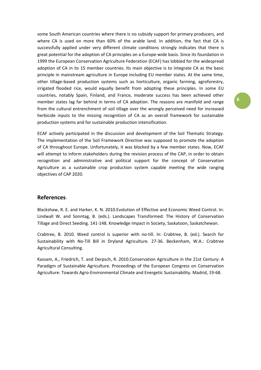some South American countries where there is no subsidy support for primary producers, and where CA is used on more than 60% of the arable land. In addition, the fact that CA is successfully applied under very different climate conditions strongly indicates that there is great potential for the adoption of CA principles on a Europe-wide basis. Since its foundation in 1999 the European Conservation Agriculture Federation (ECAF) has lobbied for the widespread adoption of CA in its 15 member countries. Its main objective is to integrate CA as the basic principle in mainstream agriculture in Europe including EU member states. At the same time, other tillage‐based production systems such as horticulture, organic farming, agroforestry, irrigated flooded rice, would equally benefit from adopting these principles. In some EU countries, notably Spain, Finland, and France, moderate success has been achieved other member states lag far behind in terms of CA adoption. The reasons are manifold and range from the cultural entrenchment of soil tillage over the wrongly perceived need for increased herbicide inputs to the missing recognition of CA as an overall framework for sustainable production systems and for sustainable production intensification.

ECAF actively participated in the discussion and development of the Soil Thematic Strategy. The implementation of the Soil Framework Directive was supposed to promote the adoption of CA throughout Europe. Unfortunately, it was blocked by a few member states. Now, ECAF will attempt to inform stakeholders during the revision process of the CAP, in order to obtain recognition and administrative and political support for the concept of Conservation Agriculture as a sustainable crop production system capable meeting the wide ranging objectives of CAP 2020.

### **References**:

Blackshaw, R. E. and Harker, K. N. 2010.Evolution of Effective and Economic Weed Control. In: Lindwall W. and Sonntag, B. (eds.). Landscapes Transformed: The History of Conservation Tillage and Direct Seeding. 141‐148. Knowledge Impact in Society, Saskatoon, Saskatchewan.

Crabtree, B. 2010. Weed control is superior with no-till. In: Crabtree, B. (ed.). Search for Sustainability with No‐Till Bill in Dryland Agriculture. 27‐36. Beckenham, W.A.: Crabtree Agricultural Consulting.

Kassam, A., Friedrich, T. and Derpsch, R. 2010.Conservation Agriculture in the 21st Century: A Paradigm of Sustainable Agriculture. Proceedings of the European Congress on Conservation Agriculture: Towards Agro‐Environmental Climate and Energetic Sustainability. Madrid, 19‐68.